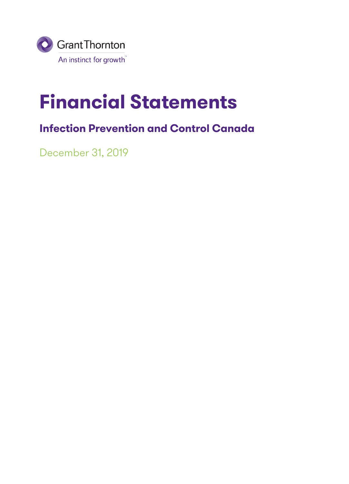

# **Financial Statements**

# **Infection Prevention and Control Canada**

December 31, 2019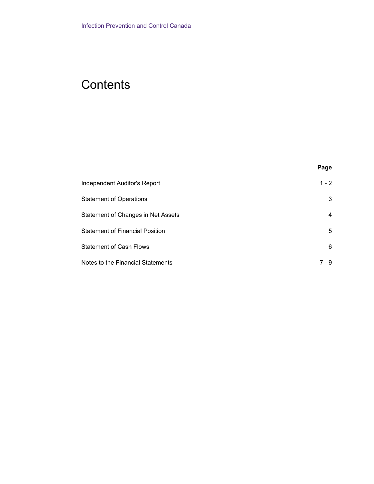# **Contents**

| Independent Auditor's Report           | $1 - 2$ |
|----------------------------------------|---------|
| <b>Statement of Operations</b>         | 3       |
| Statement of Changes in Net Assets     | 4       |
| <b>Statement of Financial Position</b> | 5       |
| <b>Statement of Cash Flows</b>         | 6       |
| Notes to the Financial Statements      | 7 - 9   |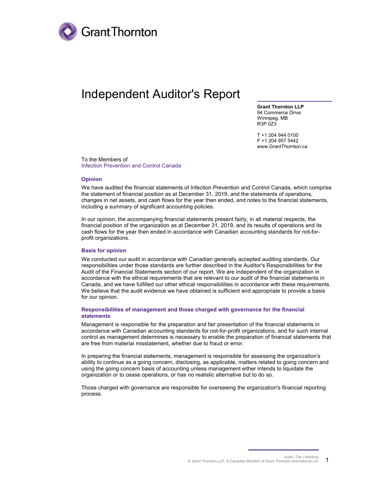

# Independent Auditor's Report

**Grant Thornton LLP** 94 Commerce Drive Winnipeg, MB R3P 0Z3

T +1 204 944 0100 F +1 204 957 5442 www.GrantThornton.ca

To the Members of Infection Prevention and Control Canada

#### **Opinion**

We have audited the financial statements of Infection Prevention and Control Canada, which comprise the statement of financial position as at December 31, 2019, and the statements of operations, changes in net assets, and cash flows for the year then ended, and notes to the financial statements, including a summary of significant accounting policies.

In our opinion, the accompanying financial statements present fairly, in all material respects, the financial position of the organization as at December 31, 2019, and its results of operations and its cash flows for the year then ended in accordance with Canadian accounting standards for not-forprofit organizations.

#### **Basis for opinion**

We conducted our audit in accordance with Canadian generally accepted auditing standards. Our responsibilities under those standards are further described in the Auditor's Responsibilities for the Audit of the Financial Statements section of our report. We are independent of the organization in accordance with the ethical requirements that are relevant to our audit of the financial statements in Canada, and we have fulfilled our other ethical responsibilities in accordance with these requirements. We believe that the audit evidence we have obtained is sufficient and appropriate to provide a basis for our opinion.

#### **Responsibilities of management and those charged with governance for the financial statements**

Management is responsible for the preparation and fair presentation of the financial statements in accordance with Canadian accounting standards for not-for-profit organizations, and for such internal control as management determines is necessary to enable the preparation of financial statements that are free from material misstatement, whether due to fraud or error.

In preparing the financial statements, management is responsible for assessing the organization's ability to continue as a going concern, disclosing, as applicable, matters related to going concern and using the going concern basis of accounting unless management either intends to liquidate the organization or to cease operations, or has no realistic alternative but to do so.

Those charged with governance are responsible for overseeing the organization's financial reporting process.

> Audit | Tax | Advisory © Grant Thornton LLP. A Canadian Member of Grant Thornton International Ltd 1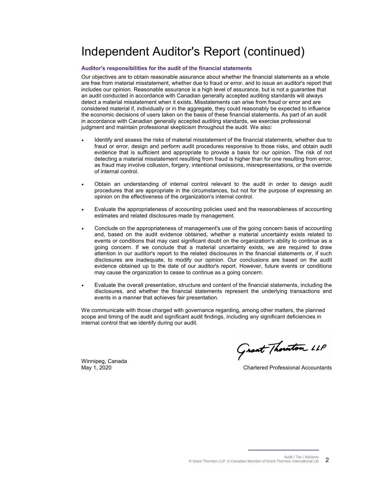# Independent Auditor's Report (continued)

#### **Auditor's responsibilities for the audit of the financial statements**

Our objectives are to obtain reasonable assurance about whether the financial statements as a whole are free from material misstatement, whether due to fraud or error, and to issue an auditor's report that includes our opinion. Reasonable assurance is a high level of assurance, but is not a guarantee that an audit conducted in accordance with Canadian generally accepted auditing standards will always detect a material misstatement when it exists. Misstatements can arise from fraud or error and are considered material if, individually or in the aggregate, they could reasonably be expected to influence the economic decisions of users taken on the basis of these financial statements. As part of an audit in accordance with Canadian generally accepted auditing standards, we exercise professional judgment and maintain professional skepticism throughout the audit. We also:

- Identify and assess the risks of material misstatement of the financial statements, whether due to fraud or error, design and perform audit procedures responsive to those risks, and obtain audit evidence that is sufficient and appropriate to provide a basis for our opinion. The risk of not detecting a material misstatement resulting from fraud is higher than for one resulting from error, as fraud may involve collusion, forgery, intentional omissions, misrepresentations, or the override of internal control.
- Obtain an understanding of internal control relevant to the audit in order to design audit procedures that are appropriate in the circumstances, but not for the purpose of expressing an opinion on the effectiveness of the organization's internal control.
- Evaluate the appropriateness of accounting policies used and the reasonableness of accounting estimates and related disclosures made by management.
- Conclude on the appropriateness of management's use of the going concern basis of accounting and, based on the audit evidence obtained, whether a material uncertainty exists related to events or conditions that may cast significant doubt on the organization's ability to continue as a going concern. If we conclude that a material uncertainty exists, we are required to draw attention in our auditor's report to the related disclosures in the financial statements or, if such disclosures are inadequate, to modify our opinion. Our conclusions are based on the audit evidence obtained up to the date of our auditor's report. However, future events or conditions may cause the organization to cease to continue as a going concern.
- Evaluate the overall presentation, structure and content of the financial statements, including the disclosures, and whether the financial statements represent the underlying transactions and events in a manner that achieves fair presentation.

We communicate with those charged with governance regarding, among other matters, the planned scope and timing of the audit and significant audit findings, including any significant deficiencies in internal control that we identify during our audit.

Winnipeg, Canada

Grant Thouton LLP

May 1, 2020 Chartered Professional Accountants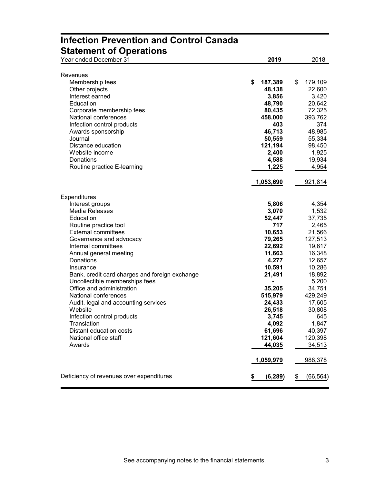| <b>Statement of Operations</b>                 |                |                 |
|------------------------------------------------|----------------|-----------------|
| Year ended December 31                         | 2019           | 2018            |
| Revenues                                       |                |                 |
| Membership fees                                | \$<br>187,389  | \$<br>179,109   |
| Other projects                                 | 48,138         | 22,600          |
| Interest earned                                | 3,856          | 3,420           |
| Education                                      | 48,790         | 20,642          |
| Corporate membership fees                      | 80,435         | 72,325          |
| National conferences                           | 458,000        | 393,762         |
| Infection control products                     | 403            | 374             |
| Awards sponsorship                             | 46,713         | 48,985          |
| Journal                                        | 50,559         | 55,334          |
| Distance education                             | 121,194        | 98,450          |
| Website income                                 | 2,400          | 1,925           |
| Donations                                      | 4,588          | 19,934          |
| Routine practice E-learning                    | 1,225          | 4,954           |
|                                                | 1,053,690      | 921,814         |
|                                                |                |                 |
| Expenditures<br>Interest groups                | 5,806          | 4,354           |
| Media Releases                                 | 3,070          | 1,532           |
| Education                                      | 52,447         | 37,735          |
| Routine practice tool                          | 717            | 2,465           |
| <b>External committees</b>                     | 10,653         | 21,566          |
| Governance and advocacy                        | 79,265         | 127,513         |
| Internal committees                            | 22,692         | 19,617          |
| Annual general meeting                         | 11,663         | 16,348          |
| Donations                                      | 4,277          | 12,657          |
| Insurance                                      | 10,591         | 10,286          |
| Bank, credit card charges and foreign exchange | 21,491         | 18,892          |
| Uncollectible memberships fees                 | $\blacksquare$ | 5,200           |
| Office and administration                      | 35,205         | 34,751          |
| National conferences                           | 515,979        | 429,249         |
| Audit, legal and accounting services           | 24,433         | 17,605          |
| Website                                        | 26,518         | 30,808          |
| Infection control products                     | 3,745          | 645             |
| <b>Translation</b>                             | 4,092          | 1,847           |
| Distant education costs                        | 61,696         | 40,397          |
| National office staff                          | 121,604        | 120,398         |
| Awards                                         | 44,035         | 34,513          |
|                                                | 1,059,979      | 988,378         |
| Deficiency of revenues over expenditures       | (6, 289)<br>\$ | (66, 564)<br>\$ |

## **Infection Prevention and Control Canada Statement of Operations**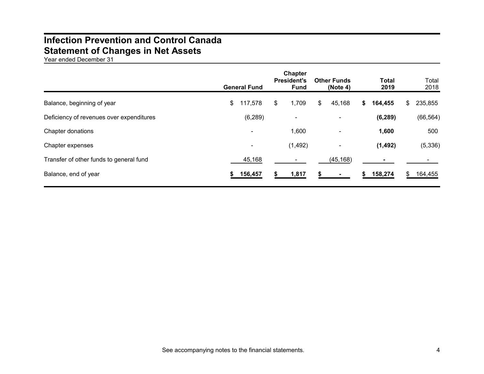### **Infection Prevention and Control Canada Statement of Changes in Net Assets**

Year ended December 31

|                                          |    | <b>General Fund</b> | <b>Chapter</b><br><b>President's</b><br><b>Fund</b> | <b>Other Funds</b><br>(Note 4) | <b>Total</b><br>2019 |    | Total<br>2018 |
|------------------------------------------|----|---------------------|-----------------------------------------------------|--------------------------------|----------------------|----|---------------|
| Balance, beginning of year               | \$ | 117,578             | \$<br>1,709                                         | \$<br>45,168                   | \$<br>164,455        | \$ | 235,855       |
| Deficiency of revenues over expenditures |    | (6, 289)            | $\overline{\phantom{a}}$                            |                                | (6, 289)             |    | (66, 564)     |
| Chapter donations                        |    |                     | 1,600                                               |                                | 1,600                |    | 500           |
| Chapter expenses                         |    |                     | (1, 492)                                            |                                | (1, 492)             |    | (5,336)       |
| Transfer of other funds to general fund  |    | 45,168              |                                                     | (45, 168)                      |                      |    |               |
| Balance, end of year                     | S  | 156,457             | 1,817                                               |                                | 158,274              | S  | 164,455       |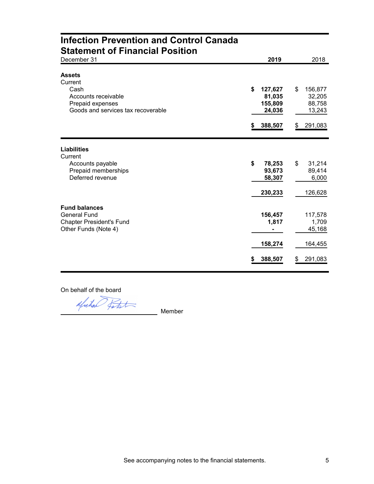| <b>Infection Prevention and Control Canada</b><br><b>Statement of Financial Position</b>                          |    |                                        |    |                                       |
|-------------------------------------------------------------------------------------------------------------------|----|----------------------------------------|----|---------------------------------------|
| December 31                                                                                                       |    | 2019                                   |    | 2018                                  |
| <b>Assets</b><br>Current<br>Cash<br>Accounts receivable<br>Prepaid expenses<br>Goods and services tax recoverable | \$ | 127,627<br>81,035<br>155,809<br>24,036 | \$ | 156,877<br>32,205<br>88,758<br>13,243 |
|                                                                                                                   | S  | 388,507                                | S  | 291,083                               |
| <b>Liabilities</b><br>Current                                                                                     |    |                                        |    |                                       |
| Accounts payable<br>Prepaid memberships<br>Deferred revenue                                                       | \$ | 78,253<br>93,673<br>58,307             | \$ | 31,214<br>89,414<br>6,000             |
|                                                                                                                   |    | 230,233                                |    | 126,628                               |
| <b>Fund balances</b><br><b>General Fund</b><br><b>Chapter President's Fund</b><br>Other Funds (Note 4)            |    | 156,457<br>1,817                       |    | 117,578<br>1,709<br>45,168            |
|                                                                                                                   |    | 158,274                                |    | 164,455                               |
|                                                                                                                   | S  | 388,507                                | S  | 291,083                               |

On behalf of the board

Africa Fatat

Member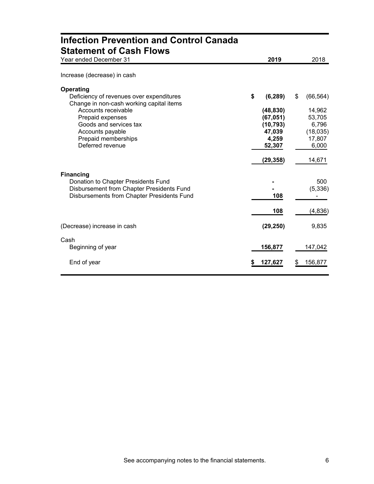| <b>Infection Prevention and Control Canada</b><br><b>Statement of Cash Flows</b>                         |                |                 |
|----------------------------------------------------------------------------------------------------------|----------------|-----------------|
| Year ended December 31                                                                                   | 2019           | 2018            |
| Increase (decrease) in cash                                                                              |                |                 |
| <b>Operating</b><br>Deficiency of revenues over expenditures<br>Change in non-cash working capital items | \$<br>(6, 289) | \$<br>(66, 564) |
| Accounts receivable                                                                                      | (48, 830)      | 14,962          |
| Prepaid expenses                                                                                         | (67, 051)      | 53,705          |
| Goods and services tax                                                                                   | (10, 793)      | 6,796           |
| Accounts payable                                                                                         | 47,039         | (18,035)        |
| Prepaid memberships<br>Deferred revenue                                                                  | 4,259          | 17,807          |
|                                                                                                          | 52,307         | 6,000           |
|                                                                                                          | (29, 358)      | 14,671          |
| <b>Financing</b>                                                                                         |                |                 |
| Donation to Chapter Presidents Fund                                                                      |                | 500             |
| Disbursement from Chapter Presidents Fund                                                                |                | (5, 336)        |
| Disbursements from Chapter Presidents Fund                                                               | 108            |                 |
|                                                                                                          | 108            | (4,836)         |
| (Decrease) increase in cash                                                                              | (29, 250)      | 9,835           |
|                                                                                                          |                |                 |
| Cash                                                                                                     | 156,877        |                 |
| Beginning of year                                                                                        |                | 147,042         |
| End of year                                                                                              | 127,627        | 156,877         |

#### See accompanying notes to the financial statements. 6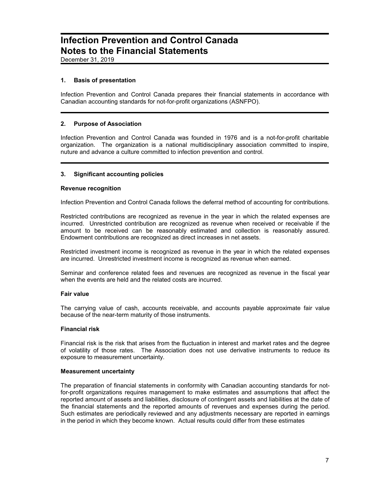### **Infection Prevention and Control Canada Notes to the Financial Statements**

December 31, 2019

#### **1. Basis of presentation**

Infection Prevention and Control Canada prepares their financial statements in accordance with Canadian accounting standards for not-for-profit organizations (ASNFPO).

#### **2. Purpose of Association**

Infection Prevention and Control Canada was founded in 1976 and is a not-for-profit charitable organization. The organization is a national multidisciplinary association committed to inspire, nuture and advance a culture committed to infection prevention and control.

#### **3. Significant accounting policies**

#### **Revenue recognition**

Infection Prevention and Control Canada follows the deferral method of accounting for contributions.

Restricted contributions are recognized as revenue in the year in which the related expenses are incurred. Unrestricted contribution are recognized as revenue when received or receivable if the amount to be received can be reasonably estimated and collection is reasonably assured. Endowment contributions are recognized as direct increases in net assets.

Restricted investment income is recognized as revenue in the year in which the related expenses are incurred. Unrestricted investment income is recognized as revenue when earned.

Seminar and conference related fees and revenues are recognized as revenue in the fiscal year when the events are held and the related costs are incurred.

#### **Fair value**

The carrying value of cash, accounts receivable, and accounts payable approximate fair value because of the near-term maturity of those instruments.

#### **Financial risk**

Financial risk is the risk that arises from the fluctuation in interest and market rates and the degree of volatility of those rates. The Association does not use derivative instruments to reduce its exposure to measurement uncertainty.

#### **Measurement uncertainty**

The preparation of financial statements in conformity with Canadian accounting standards for notfor-profit organizations requires management to make estimates and assumptions that affect the reported amount of assets and liabilities, disclosure of contingent assets and liabilities at the date of the financial statements and the reported amounts of revenues and expenses during the period. Such estimates are periodically reviewed and any adjustments necessary are reported in earnings in the period in which they become known. Actual results could differ from these estimates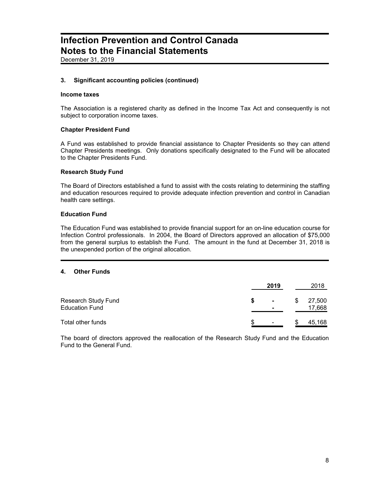### **Infection Prevention and Control Canada Notes to the Financial Statements**

December 31, 2019

#### **3. Significant accounting policies (continued)**

#### **Income taxes**

The Association is a registered charity as defined in the Income Tax Act and consequently is not subject to corporation income taxes.

#### **Chapter President Fund**

A Fund was established to provide financial assistance to Chapter Presidents so they can attend Chapter Presidents meetings. Only donations specifically designated to the Fund will be allocated to the Chapter Presidents Fund.

#### **Research Study Fund**

The Board of Directors established a fund to assist with the costs relating to determining the staffing and education resources required to provide adequate infection prevention and control in Canadian health care settings.

#### **Education Fund**

The Education Fund was established to provide financial support for an on-line education course for Infection Control professionals. In 2004, the Board of Directors approved an allocation of \$75,000 from the general surplus to establish the Fund. The amount in the fund at December 31, 2018 is the unexpended portion of the original allocation.

#### **4. Other Funds**

|                                                     |    | 2019                     |    |                  |  |
|-----------------------------------------------------|----|--------------------------|----|------------------|--|
| <b>Research Study Fund</b><br><b>Education Fund</b> | -S | $\sim$                   | \$ | 27,500<br>17,668 |  |
| Total other funds                                   | S  | $\overline{\phantom{a}}$ | Ъ  | 45,168           |  |

The board of directors approved the reallocation of the Research Study Fund and the Education Fund to the General Fund.